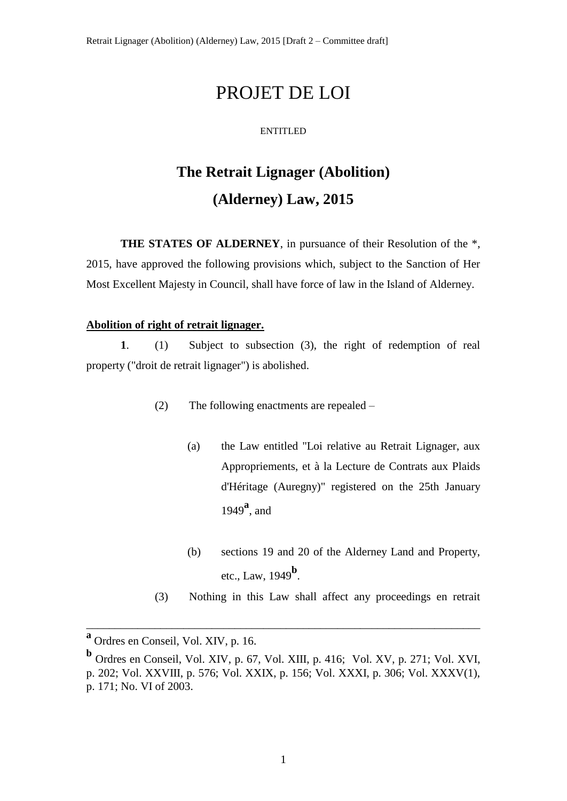# PROJET DE LOI

#### ENTITLED

# **The Retrait Lignager (Abolition) (Alderney) Law, 2015**

**THE STATES OF ALDERNEY**, in pursuance of their Resolution of the \*, 2015, have approved the following provisions which, subject to the Sanction of Her Most Excellent Majesty in Council, shall have force of law in the Island of Alderney.

#### **Abolition of right of retrait lignager.**

**1**. (1) Subject to subsection (3), the right of redemption of real property ("droit de retrait lignager") is abolished.

- (2) The following enactments are repealed
	- (a) the Law entitled "Loi relative au Retrait Lignager, aux Appropriements, et à la Lecture de Contrats aux Plaids d'Héritage (Auregny)" registered on the 25th January <sup>1949</sup>**<sup>a</sup>** , and
	- (b) sections 19 and 20 of the Alderney Land and Property, etc., Law, 1949**<sup>b</sup>** .
- (3) Nothing in this Law shall affect any proceedings en retrait

\_\_\_\_\_\_\_\_\_\_\_\_\_\_\_\_\_\_\_\_\_\_\_\_\_\_\_\_\_\_\_\_\_\_\_\_\_\_\_\_\_\_\_\_\_\_\_\_\_\_\_\_\_\_\_\_\_\_\_\_\_\_\_\_\_\_\_\_\_

**a** Ordres en Conseil, Vol. XIV, p. 16.

**b** Ordres en Conseil, Vol. XIV, p. 67, Vol. XIII, p. 416; Vol. XV, p. 271; Vol. XVI, p. 202; Vol. XXVIII, p. 576; Vol. XXIX, p. 156; Vol. XXXI, p. 306; Vol. XXXV(1), p. 171; No. VI of 2003.